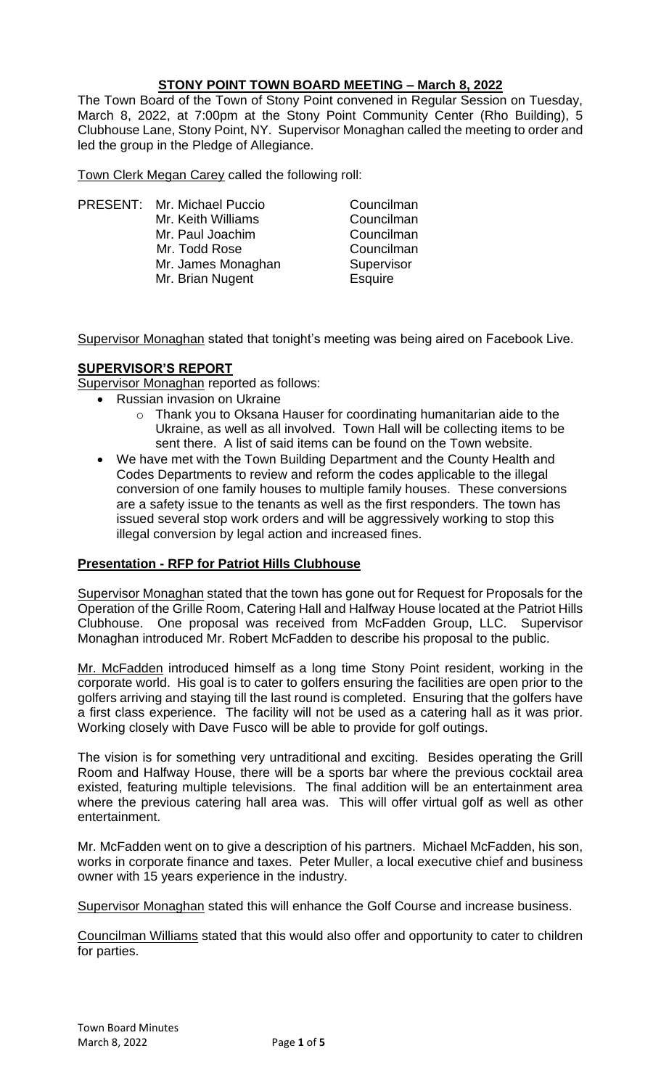## **STONY POINT TOWN BOARD MEETING – March 8, 2022**

The Town Board of the Town of Stony Point convened in Regular Session on Tuesday, March 8, 2022, at 7:00pm at the Stony Point Community Center (Rho Building), 5 Clubhouse Lane, Stony Point, NY. Supervisor Monaghan called the meeting to order and led the group in the Pledge of Allegiance.

Town Clerk Megan Carey called the following roll:

PRESENT: Mr. Michael Puccio Councilman Mr. Keith Williams Councilman Mr. Paul Joachim Councilman<br>
Mr. Todd Rose Councilman Mr. Todd Rose Mr. James Monaghan Supervisor Mr. Brian Nugent **Esquire** 

Supervisor Monaghan stated that tonight's meeting was being aired on Facebook Live.

# **SUPERVISOR'S REPORT**

Supervisor Monaghan reported as follows:

- Russian invasion on Ukraine
	- o Thank you to Oksana Hauser for coordinating humanitarian aide to the Ukraine, as well as all involved. Town Hall will be collecting items to be sent there. A list of said items can be found on the Town website.
	- We have met with the Town Building Department and the County Health and Codes Departments to review and reform the codes applicable to the illegal conversion of one family houses to multiple family houses. These conversions are a safety issue to the tenants as well as the first responders. The town has issued several stop work orders and will be aggressively working to stop this illegal conversion by legal action and increased fines.

## **Presentation - RFP for Patriot Hills Clubhouse**

Supervisor Monaghan stated that the town has gone out for Request for Proposals for the Operation of the Grille Room, Catering Hall and Halfway House located at the Patriot Hills Clubhouse. One proposal was received from McFadden Group, LLC. Supervisor Monaghan introduced Mr. Robert McFadden to describe his proposal to the public.

Mr. McFadden introduced himself as a long time Stony Point resident, working in the corporate world. His goal is to cater to golfers ensuring the facilities are open prior to the golfers arriving and staying till the last round is completed. Ensuring that the golfers have a first class experience. The facility will not be used as a catering hall as it was prior. Working closely with Dave Fusco will be able to provide for golf outings.

The vision is for something very untraditional and exciting. Besides operating the Grill Room and Halfway House, there will be a sports bar where the previous cocktail area existed, featuring multiple televisions. The final addition will be an entertainment area where the previous catering hall area was. This will offer virtual golf as well as other entertainment.

Mr. McFadden went on to give a description of his partners. Michael McFadden, his son, works in corporate finance and taxes. Peter Muller, a local executive chief and business owner with 15 years experience in the industry.

Supervisor Monaghan stated this will enhance the Golf Course and increase business.

Councilman Williams stated that this would also offer and opportunity to cater to children for parties.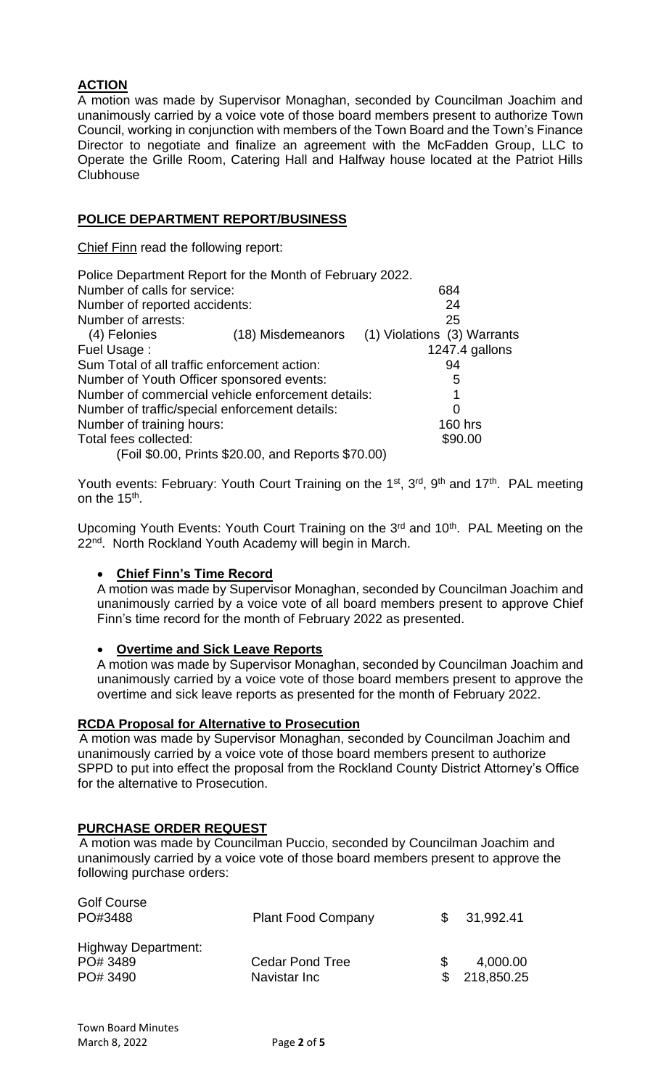# **ACTION**

A motion was made by Supervisor Monaghan, seconded by Councilman Joachim and unanimously carried by a voice vote of those board members present to authorize Town Council, working in conjunction with members of the Town Board and the Town's Finance Director to negotiate and finalize an agreement with the McFadden Group, LLC to Operate the Grille Room, Catering Hall and Halfway house located at the Patriot Hills **Clubhouse** 

## **POLICE DEPARTMENT REPORT/BUSINESS**

Chief Finn read the following report:

| Police Department Report for the Month of February 2022. |                                                    |                             |
|----------------------------------------------------------|----------------------------------------------------|-----------------------------|
| Number of calls for service:                             |                                                    | 684                         |
| Number of reported accidents:                            |                                                    | 24                          |
| Number of arrests:                                       |                                                    | 25                          |
| (4) Felonies                                             | (18) Misdemeanors                                  | (1) Violations (3) Warrants |
| Fuel Usage:                                              |                                                    | 1247.4 gallons              |
| Sum Total of all traffic enforcement action:             |                                                    | 94                          |
| Number of Youth Officer sponsored events:                |                                                    | 5                           |
| Number of commercial vehicle enforcement details:        |                                                    |                             |
| Number of traffic/special enforcement details:           |                                                    | 0                           |
| Number of training hours:                                |                                                    | <b>160 hrs</b>              |
| Total fees collected:                                    |                                                    | \$90.00                     |
|                                                          | (Foil \$0.00, Prints \$20.00, and Reports \$70.00) |                             |

Youth events: February: Youth Court Training on the 1<sup>st</sup>, 3<sup>rd</sup>, 9<sup>th</sup> and 17<sup>th</sup>. PAL meeting on the 15<sup>th</sup>.

Upcoming Youth Events: Youth Court Training on the 3<sup>rd</sup> and 10<sup>th</sup>. PAL Meeting on the 22<sup>nd</sup>. North Rockland Youth Academy will begin in March.

## • **Chief Finn's Time Record**

A motion was made by Supervisor Monaghan, seconded by Councilman Joachim and unanimously carried by a voice vote of all board members present to approve Chief Finn's time record for the month of February 2022 as presented.

## • **Overtime and Sick Leave Reports**

A motion was made by Supervisor Monaghan, seconded by Councilman Joachim and unanimously carried by a voice vote of those board members present to approve the overtime and sick leave reports as presented for the month of February 2022.

## **RCDA Proposal for Alternative to Prosecution**

 A motion was made by Supervisor Monaghan, seconded by Councilman Joachim and unanimously carried by a voice vote of those board members present to authorize SPPD to put into effect the proposal from the Rockland County District Attorney's Office for the alternative to Prosecution.

## **PURCHASE ORDER REQUEST**

 A motion was made by Councilman Puccio, seconded by Councilman Joachim and unanimously carried by a voice vote of those board members present to approve the following purchase orders:

| Golf Course<br>PO#3488                             | <b>Plant Food Company</b>              | SS. | 31,992.41                |
|----------------------------------------------------|----------------------------------------|-----|--------------------------|
| <b>Highway Department:</b><br>PO# 3489<br>PO# 3490 | <b>Cedar Pond Tree</b><br>Navistar Inc | \$. | 4,000.00<br>\$218,850.25 |

 $\sim$   $\sim$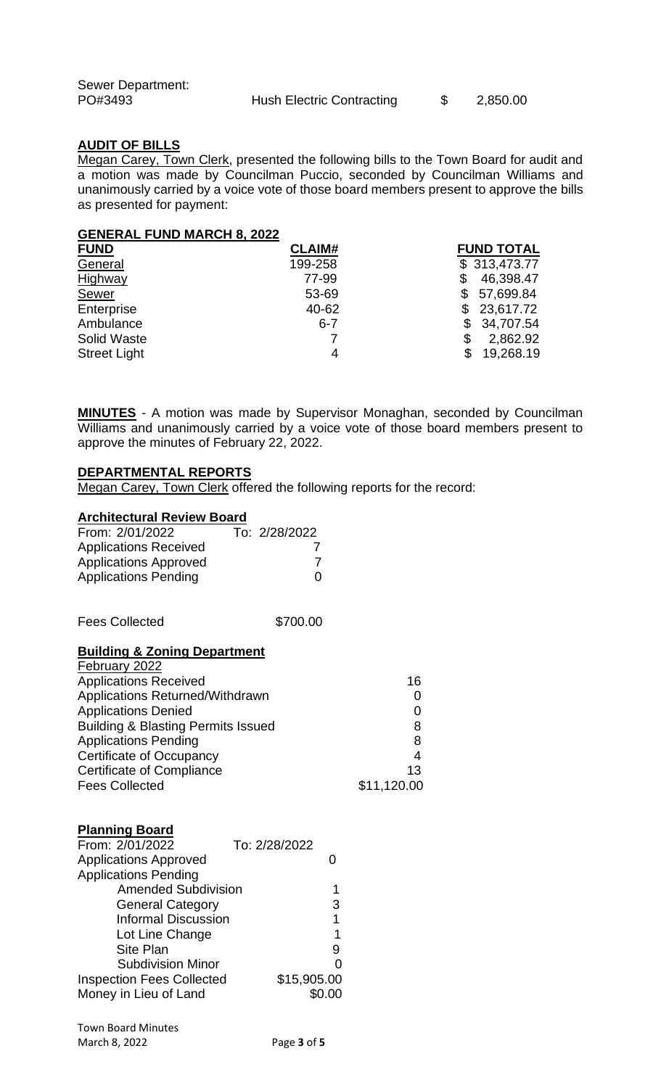Sewer Department:<br>PO#3493

Hush Electric Contracting  $$ 2,850.00$ 

## **AUDIT OF BILLS**

Megan Carey, Town Clerk, presented the following bills to the Town Board for audit and a motion was made by Councilman Puccio, seconded by Councilman Williams and unanimously carried by a voice vote of those board members present to approve the bills as presented for payment:

#### **GENERAL FUND MARCH 8, 2022**

| <b>FUND</b>         | <b>CLAIM#</b> | <b>FUND TOTAL</b> |
|---------------------|---------------|-------------------|
| General             | 199-258       | \$313,473.77      |
| Highway             | 77-99         | 46,398.47         |
| <b>Sewer</b>        | 53-69         | 57,699.84<br>\$.  |
| Enterprise          | 40-62         | \$23,617.72       |
| Ambulance           | $6 - 7$       | 34,707.54<br>\$   |
| Solid Waste         |               | 2,862.92<br>\$    |
| <b>Street Light</b> | 4             | 19,268.19<br>\$   |

**MINUTES** - A motion was made by Supervisor Monaghan, seconded by Councilman Williams and unanimously carried by a voice vote of those board members present to approve the minutes of February 22, 2022.

### **DEPARTMENTAL REPORTS**

Megan Carey, Town Clerk offered the following reports for the record:

#### **Architectural Review Board**

| From: 2/01/2022              | To: 2/28/2022 |
|------------------------------|---------------|
| <b>Applications Received</b> |               |
| <b>Applications Approved</b> |               |
| <b>Applications Pending</b>  | 0             |

Fees Collected \$700.00

#### **Building & Zoning Department**

| February 2022                                 |             |
|-----------------------------------------------|-------------|
| <b>Applications Received</b>                  | 16          |
| Applications Returned/Withdrawn               |             |
| <b>Applications Denied</b>                    |             |
| <b>Building &amp; Blasting Permits Issued</b> | 8           |
| <b>Applications Pending</b>                   | 8           |
| <b>Certificate of Occupancy</b>               | 4           |
| <b>Certificate of Compliance</b>              | 13          |
| <b>Fees Collected</b>                         | \$11,120.00 |

#### **Planning Board**

| To: 2/28/2022              |                                 |
|----------------------------|---------------------------------|
|                            |                                 |
|                            |                                 |
| <b>Amended Subdivision</b> |                                 |
|                            |                                 |
|                            |                                 |
|                            |                                 |
|                            |                                 |
|                            |                                 |
|                            |                                 |
|                            |                                 |
|                            | 3<br>1<br>1<br>g<br>\$15,905.00 |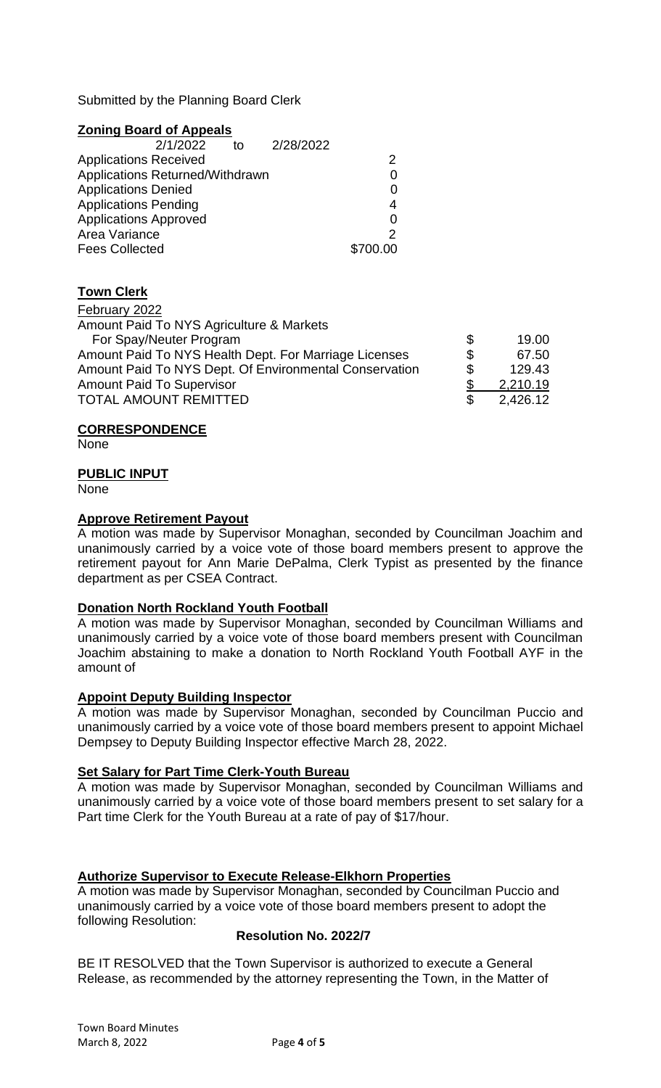Submitted by the Planning Board Clerk

## **Zoning Board of Appeals**

| 2/1/2022                        | to | 2/28/2022 |          |
|---------------------------------|----|-----------|----------|
| <b>Applications Received</b>    |    |           |          |
| Applications Returned/Withdrawn |    |           |          |
| <b>Applications Denied</b>      |    |           | 0        |
| <b>Applications Pending</b>     |    |           | 4        |
| <b>Applications Approved</b>    |    |           |          |
| Area Variance                   |    |           |          |
| <b>Fees Collected</b>           |    |           | \$700.00 |

# **Town Clerk**

February 2022 Amount Paid To NYS Agriculture & Markets For Spay/Neuter Program  $\sim$  5 19.00 Amount Paid To NYS Health Dept. For Marriage Licenses  $$67.50$ <br>Amount Paid To NYS Dept. Of Environmental Conservation \$129.43 Amount Paid To NYS Dept. Of Environmental Conservation  $\frac{\$}{\$}$  129.43<br>Amount Paid To Supervisor  $\frac{\$}{\$}$  2,210.19<br>TOTAL AMOUNT REMITTED  $\frac{\$}{\$}$  2.426.12 Amount Paid To Supervisor **Amount Paid To Supervisor Amount Paid To Supervisor 6** 2,210.19 TOTAL AMOUNT REMITTED \$ 2,426.12

### **CORRESPONDENCE**

**None** 

### **PUBLIC INPUT**

None

### **Approve Retirement Payout**

A motion was made by Supervisor Monaghan, seconded by Councilman Joachim and unanimously carried by a voice vote of those board members present to approve the retirement payout for Ann Marie DePalma, Clerk Typist as presented by the finance department as per CSEA Contract.

## **Donation North Rockland Youth Football**

A motion was made by Supervisor Monaghan, seconded by Councilman Williams and unanimously carried by a voice vote of those board members present with Councilman Joachim abstaining to make a donation to North Rockland Youth Football AYF in the amount of

## **Appoint Deputy Building Inspector**

A motion was made by Supervisor Monaghan, seconded by Councilman Puccio and unanimously carried by a voice vote of those board members present to appoint Michael Dempsey to Deputy Building Inspector effective March 28, 2022.

## **Set Salary for Part Time Clerk-Youth Bureau**

A motion was made by Supervisor Monaghan, seconded by Councilman Williams and unanimously carried by a voice vote of those board members present to set salary for a Part time Clerk for the Youth Bureau at a rate of pay of \$17/hour.

## **Authorize Supervisor to Execute Release-Elkhorn Properties**

A motion was made by Supervisor Monaghan, seconded by Councilman Puccio and unanimously carried by a voice vote of those board members present to adopt the following Resolution:

## **Resolution No. 2022/7**

BE IT RESOLVED that the Town Supervisor is authorized to execute a General Release, as recommended by the attorney representing the Town, in the Matter of